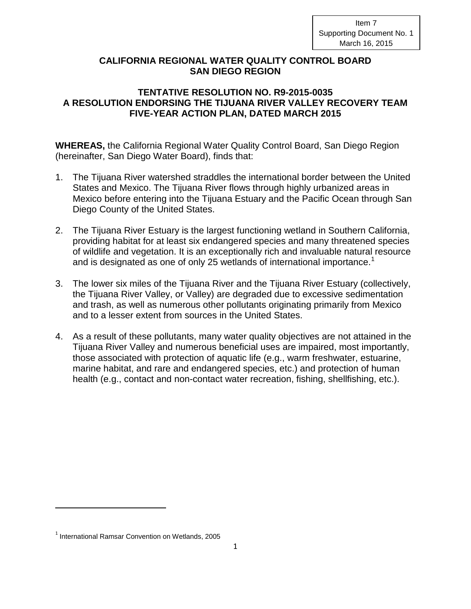Item 7 Supporting Document No. 1 March 16, 2015

## **CALIFORNIA REGIONAL WATER QUALITY CONTROL BOARD SAN DIEGO REGION**

## **TENTATIVE RESOLUTION NO. R9-2015-0035 A RESOLUTION ENDORSING THE TIJUANA RIVER VALLEY RECOVERY TEAM FIVE-YEAR ACTION PLAN, DATED MARCH 2015**

**WHEREAS,** the California Regional Water Quality Control Board, San Diego Region (hereinafter, San Diego Water Board), finds that:

- 1. The Tijuana River watershed straddles the international border between the United States and Mexico. The Tijuana River flows through highly urbanized areas in Mexico before entering into the Tijuana Estuary and the Pacific Ocean through San Diego County of the United States.
- 2. The Tijuana River Estuary is the largest functioning wetland in Southern California, providing habitat for at least six endangered species and many threatened species of wildlife and vegetation. It is an exceptionally rich and invaluable natural resource and is designated as one of only 25 wetlands of international importance.<sup>[1](#page-0-0)</sup>
- 3. The lower six miles of the Tijuana River and the Tijuana River Estuary (collectively, the Tijuana River Valley, or Valley) are degraded due to excessive sedimentation and trash, as well as numerous other pollutants originating primarily from Mexico and to a lesser extent from sources in the United States.
- 4. As a result of these pollutants, many water quality objectives are not attained in the Tijuana River Valley and numerous beneficial uses are impaired, most importantly, those associated with protection of aquatic life (e.g., warm freshwater, estuarine, marine habitat, and rare and endangered species, etc.) and protection of human health (e.g., contact and non-contact water recreation, fishing, shellfishing, etc.).

l

<span id="page-0-0"></span><sup>&</sup>lt;sup>1</sup> International Ramsar Convention on Wetlands, 2005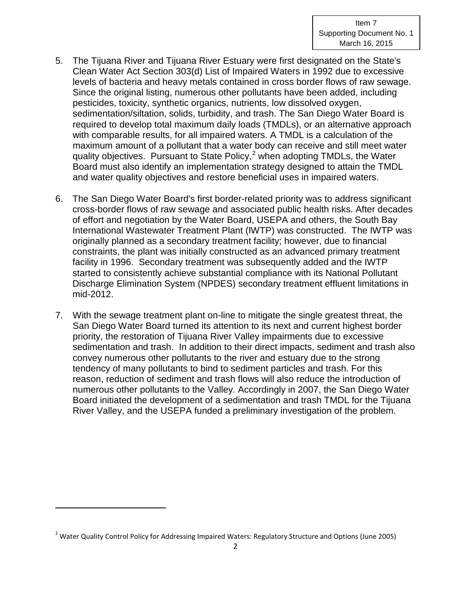- 5. The Tijuana River and Tijuana River Estuary were first designated on the State's Clean Water Act Section 303(d) List of Impaired Waters in 1992 due to excessive levels of bacteria and heavy metals contained in cross border flows of raw sewage. Since the original listing, numerous other pollutants have been added, including pesticides, toxicity, synthetic organics, nutrients, low dissolved oxygen, sedimentation/siltation, solids, turbidity, and trash. The San Diego Water Board is required to develop total maximum daily loads (TMDLs), or an alternative approach with comparable results, for all impaired waters. A TMDL is a calculation of the maximum amount of a pollutant that a water body can receive and still meet water quality objectives. Pursuant to State Policy, $2$  when adopting TMDLs, the Water Board must also identify an implementation strategy designed to attain the TMDL and water quality objectives and restore beneficial uses in impaired waters.
- 6. The San Diego Water Board's first border-related priority was to address significant cross-border flows of raw sewage and associated public health risks. After decades of effort and negotiation by the Water Board, USEPA and others, the South Bay International Wastewater Treatment Plant (IWTP) was constructed. The IWTP was originally planned as a secondary treatment facility; however, due to financial constraints, the plant was initially constructed as an advanced primary treatment facility in 1996. Secondary treatment was subsequently added and the IWTP started to consistently achieve substantial compliance with its National Pollutant Discharge Elimination System (NPDES) secondary treatment effluent limitations in mid-2012.
- 7. With the sewage treatment plant on-line to mitigate the single greatest threat, the San Diego Water Board turned its attention to its next and current highest border priority, the restoration of Tijuana River Valley impairments due to excessive sedimentation and trash. In addition to their direct impacts, sediment and trash also convey numerous other pollutants to the river and estuary due to the strong tendency of many pollutants to bind to sediment particles and trash. For this reason, reduction of sediment and trash flows will also reduce the introduction of numerous other pollutants to the Valley. Accordingly in 2007, the San Diego Water Board initiated the development of a sedimentation and trash TMDL for the Tijuana River Valley, and the USEPA funded a preliminary investigation of the problem.

l

<span id="page-1-0"></span><sup>&</sup>lt;sup>2</sup> Water Quality Control Policy for Addressing Impaired Waters: Regulatory Structure and Options (June 2005)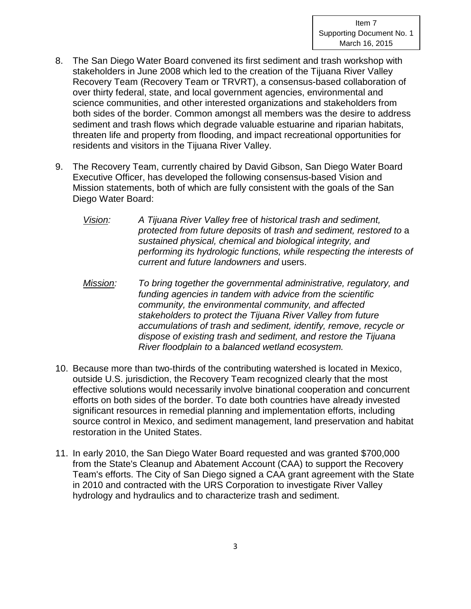- 8. The San Diego Water Board convened its first sediment and trash workshop with stakeholders in June 2008 which led to the creation of the Tijuana River Valley Recovery Team (Recovery Team or TRVRT), a consensus-based collaboration of over thirty federal, state, and local government agencies, environmental and science communities, and other interested organizations and stakeholders from both sides of the border. Common amongst all members was the desire to address sediment and trash flows which degrade valuable estuarine and riparian habitats, threaten life and property from flooding, and impact recreational opportunities for residents and visitors in the Tijuana River Valley.
- 9. The Recovery Team, currently chaired by David Gibson, San Diego Water Board Executive Officer, has developed the following consensus-based Vision and Mission statements, both of which are fully consistent with the goals of the San Diego Water Board:
	- *Vision: A Tijuana River Valley free* of *historical trash and sediment, protected from future deposits* of *trash and sediment, restored to* a *sustained physical, chemical and biological integrity, and performing its hydrologic functions, while respecting the interests of current and future landowners and* users.
	- *Mission: To bring together the governmental administrative, regulatory, and funding agencies in tandem with advice from the scientific community, the environmental community, and affected stakeholders to protect the Tijuana River Valley from future accumulations of trash and sediment, identify, remove, recycle or dispose of existing trash and sediment, and restore the Tijuana River floodplain to* a *balanced wetland ecosystem.*
- 10. Because more than two-thirds of the contributing watershed is located in Mexico, outside U.S. jurisdiction, the Recovery Team recognized clearly that the most effective solutions would necessarily involve binational cooperation and concurrent efforts on both sides of the border. To date both countries have already invested significant resources in remedial planning and implementation efforts, including source control in Mexico, and sediment management, land preservation and habitat restoration in the United States.
- 11. In early 2010, the San Diego Water Board requested and was granted \$700,000 from the State's Cleanup and Abatement Account (CAA) to support the Recovery Team's efforts. The City of San Diego signed a CAA grant agreement with the State in 2010 and contracted with the URS Corporation to investigate River Valley hydrology and hydraulics and to characterize trash and sediment.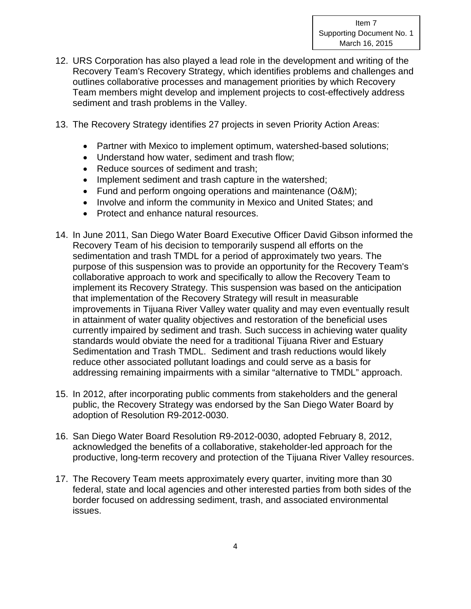- 12. URS Corporation has also played a lead role in the development and writing of the Recovery Team's Recovery Strategy, which identifies problems and challenges and outlines collaborative processes and management priorities by which Recovery Team members might develop and implement projects to cost-effectively address sediment and trash problems in the Valley.
- 13. The Recovery Strategy identifies 27 projects in seven Priority Action Areas:
	- Partner with Mexico to implement optimum, watershed-based solutions;
	- Understand how water, sediment and trash flow;
	- Reduce sources of sediment and trash:
	- Implement sediment and trash capture in the watershed;
	- Fund and perform ongoing operations and maintenance (O&M);
	- Involve and inform the community in Mexico and United States; and
	- Protect and enhance natural resources.
- 14. In June 2011, San Diego Water Board Executive Officer David Gibson informed the Recovery Team of his decision to temporarily suspend all efforts on the sedimentation and trash TMDL for a period of approximately two years. The purpose of this suspension was to provide an opportunity for the Recovery Team's collaborative approach to work and specifically to allow the Recovery Team to implement its Recovery Strategy. This suspension was based on the anticipation that implementation of the Recovery Strategy will result in measurable improvements in Tijuana River Valley water quality and may even eventually result in attainment of water quality objectives and restoration of the beneficial uses currently impaired by sediment and trash. Such success in achieving water quality standards would obviate the need for a traditional Tijuana River and Estuary Sedimentation and Trash TMDL. Sediment and trash reductions would likely reduce other associated pollutant loadings and could serve as a basis for addressing remaining impairments with a similar "alternative to TMDL" approach.
- 15. In 2012, after incorporating public comments from stakeholders and the general public, the Recovery Strategy was endorsed by the San Diego Water Board by adoption of Resolution R9-2012-0030.
- 16. San Diego Water Board Resolution R9-2012-0030, adopted February 8, 2012, acknowledged the benefits of a collaborative, stakeholder-led approach for the productive, long-term recovery and protection of the Tijuana River Valley resources.
- 17. The Recovery Team meets approximately every quarter, inviting more than 30 federal, state and local agencies and other interested parties from both sides of the border focused on addressing sediment, trash, and associated environmental issues.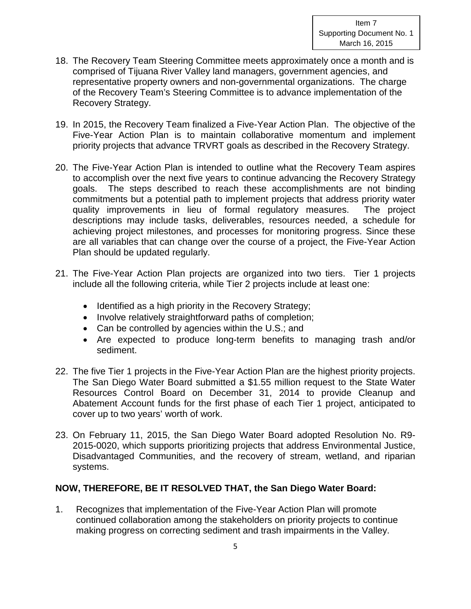- 18. The Recovery Team Steering Committee meets approximately once a month and is comprised of Tijuana River Valley land managers, government agencies, and representative property owners and non-governmental organizations. The charge of the Recovery Team's Steering Committee is to advance implementation of the Recovery Strategy.
- 19. In 2015, the Recovery Team finalized a Five-Year Action Plan. The objective of the Five-Year Action Plan is to maintain collaborative momentum and implement priority projects that advance TRVRT goals as described in the Recovery Strategy.
- 20. The Five-Year Action Plan is intended to outline what the Recovery Team aspires to accomplish over the next five years to continue advancing the Recovery Strategy goals. The steps described to reach these accomplishments are not binding commitments but a potential path to implement projects that address priority water quality improvements in lieu of formal regulatory measures. The project descriptions may include tasks, deliverables, resources needed, a schedule for achieving project milestones, and processes for monitoring progress. Since these are all variables that can change over the course of a project, the Five-Year Action Plan should be updated regularly.
- 21. The Five-Year Action Plan projects are organized into two tiers. Tier 1 projects include all the following criteria, while Tier 2 projects include at least one:
	- Identified as a high priority in the Recovery Strategy;
	- Involve relatively straightforward paths of completion;
	- Can be controlled by agencies within the U.S.; and
	- Are expected to produce long-term benefits to managing trash and/or sediment.
- 22. The five Tier 1 projects in the Five-Year Action Plan are the highest priority projects. The San Diego Water Board submitted a \$1.55 million request to the State Water Resources Control Board on December 31, 2014 to provide Cleanup and Abatement Account funds for the first phase of each Tier 1 project, anticipated to cover up to two years' worth of work.
- 23. On February 11, 2015, the San Diego Water Board adopted Resolution No. R9- 2015-0020, which supports prioritizing projects that address Environmental Justice, Disadvantaged Communities, and the recovery of stream, wetland, and riparian systems.

## **NOW, THEREFORE, BE IT RESOLVED THAT, the San Diego Water Board:**

1. Recognizes that implementation of the Five-Year Action Plan will promote continued collaboration among the stakeholders on priority projects to continue making progress on correcting sediment and trash impairments in the Valley.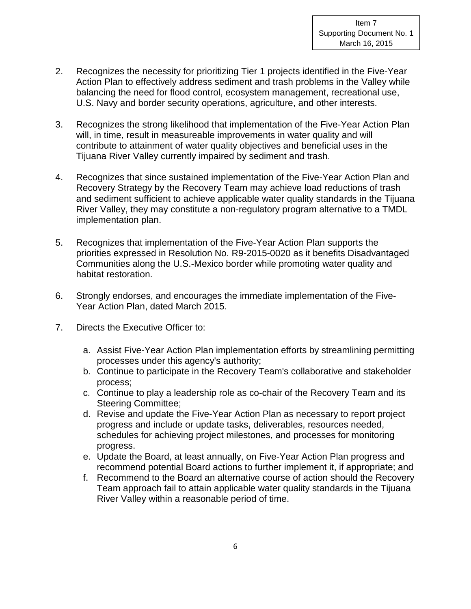- 2. Recognizes the necessity for prioritizing Tier 1 projects identified in the Five-Year Action Plan to effectively address sediment and trash problems in the Valley while balancing the need for flood control, ecosystem management, recreational use, U.S. Navy and border security operations, agriculture, and other interests.
- 3. Recognizes the strong likelihood that implementation of the Five-Year Action Plan will, in time, result in measureable improvements in water quality and will contribute to attainment of water quality objectives and beneficial uses in the Tijuana River Valley currently impaired by sediment and trash.
- 4. Recognizes that since sustained implementation of the Five-Year Action Plan and Recovery Strategy by the Recovery Team may achieve load reductions of trash and sediment sufficient to achieve applicable water quality standards in the Tijuana River Valley, they may constitute a non-regulatory program alternative to a TMDL implementation plan.
- 5. Recognizes that implementation of the Five-Year Action Plan supports the priorities expressed in Resolution No. R9-2015-0020 as it benefits Disadvantaged Communities along the U.S.-Mexico border while promoting water quality and habitat restoration.
- 6. Strongly endorses, and encourages the immediate implementation of the Five-Year Action Plan, dated March 2015.
- 7. Directs the Executive Officer to:
	- a. Assist Five-Year Action Plan implementation efforts by streamlining permitting processes under this agency's authority;
	- b. Continue to participate in the Recovery Team's collaborative and stakeholder process;
	- c. Continue to play a leadership role as co-chair of the Recovery Team and its Steering Committee;
	- d. Revise and update the Five-Year Action Plan as necessary to report project progress and include or update tasks, deliverables, resources needed, schedules for achieving project milestones, and processes for monitoring progress.
	- e. Update the Board, at least annually, on Five-Year Action Plan progress and recommend potential Board actions to further implement it, if appropriate; and
	- f. Recommend to the Board an alternative course of action should the Recovery Team approach fail to attain applicable water quality standards in the Tijuana River Valley within a reasonable period of time.